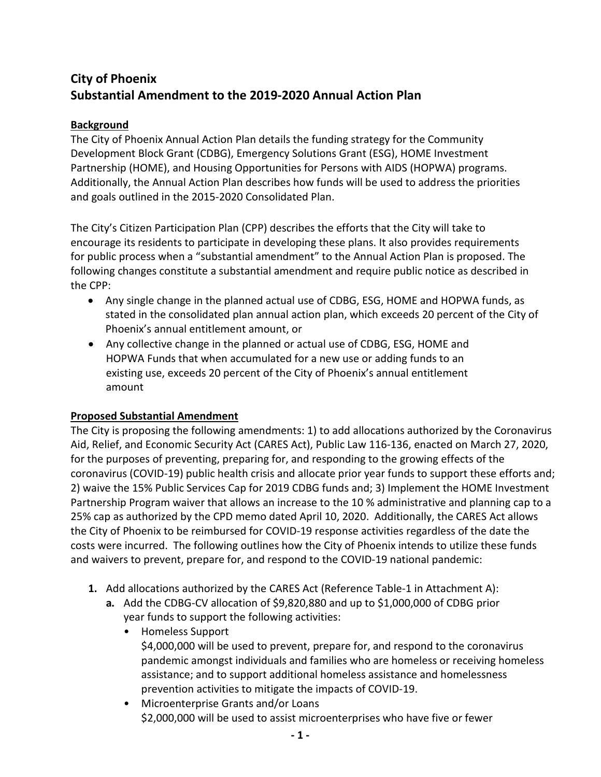# **City of Phoenix Substantial Amendment to the 2019-2020 Annual Action Plan**

### **Background**

The City of Phoenix Annual Action Plan details the funding strategy for the Community Development Block Grant (CDBG), Emergency Solutions Grant (ESG), HOME Investment Partnership (HOME), and Housing Opportunities for Persons with AIDS (HOPWA) programs. Additionally, the Annual Action Plan describes how funds will be used to address the priorities and goals outlined in the 2015-2020 Consolidated Plan.

The City's Citizen Participation Plan (CPP) describes the efforts that the City will take to encourage its residents to participate in developing these plans. It also provides requirements for public process when a "substantial amendment" to the Annual Action Plan is proposed. The following changes constitute a substantial amendment and require public notice as described in the CPP:

- Any single change in the planned actual use of CDBG, ESG, HOME and HOPWA funds, as stated in the consolidated plan annual action plan, which exceeds 20 percent of the City of Phoenix's annual entitlement amount, or
- Any collective change in the planned or actual use of CDBG, ESG, HOME and HOPWA Funds that when accumulated for a new use or adding funds to an existing use, exceeds 20 percent of the City of Phoenix's annual entitlement amount

## **Proposed Substantial Amendment**

The City is proposing the following amendments: 1) to add allocations authorized by the Coronavirus Aid, Relief, and Economic Security Act (CARES Act), Public Law 116-136, enacted on March 27, 2020, for the purposes of preventing, preparing for, and responding to the growing effects of the coronavirus (COVID-19) public health crisis and allocate prior year funds to support these efforts and; 2) waive the 15% Public Services Cap for 2019 CDBG funds and; 3) Implement the HOME Investment Partnership Program waiver that allows an increase to the 10 % administrative and planning cap to a 25% cap as authorized by the CPD memo dated April 10, 2020. Additionally, the CARES Act allows the City of Phoenix to be reimbursed for COVID-19 response activities regardless of the date the costs were incurred. The following outlines how the City of Phoenix intends to utilize these funds and waivers to prevent, prepare for, and respond to the COVID-19 national pandemic:

- **1.** Add allocations authorized by the CARES Act (Reference Table-1 in Attachment A):
	- **a.** Add the CDBG-CV allocation of \$9,820,880 and up to \$1,000,000 of CDBG prior year funds to support the following activities:
		- Homeless Support \$4,000,000 will be used to prevent, prepare for, and respond to the coronavirus pandemic amongst individuals and families who are homeless or receiving homeless assistance; and to support additional homeless assistance and homelessness prevention activities to mitigate the impacts of COVID-19.
		- Microenterprise Grants and/or Loans \$2,000,000 will be used to assist microenterprises who have five or fewer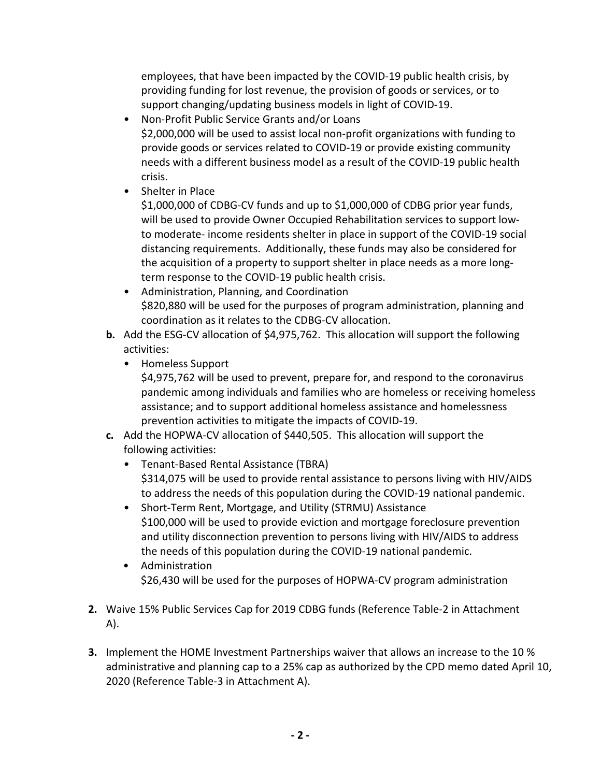employees, that have been impacted by the COVID-19 public health crisis, by providing funding for lost revenue, the provision of goods or services, or to support changing/updating business models in light of COVID-19.

- Non-Profit Public Service Grants and/or Loans \$2,000,000 will be used to assist local non-profit organizations with funding to provide goods or services related to COVID-19 or provide existing community needs with a different business model as a result of the COVID-19 public health crisis.
- Shelter in Place

\$1,000,000 of CDBG-CV funds and up to \$1,000,000 of CDBG prior year funds, will be used to provide Owner Occupied Rehabilitation services to support lowto moderate- income residents shelter in place in support of the COVID-19 social distancing requirements. Additionally, these funds may also be considered for the acquisition of a property to support shelter in place needs as a more longterm response to the COVID-19 public health crisis.

- Administration, Planning, and Coordination \$820,880 will be used for the purposes of program administration, planning and coordination as it relates to the CDBG-CV allocation.
- **b.** Add the ESG-CV allocation of \$4,975,762. This allocation will support the following activities:
	- Homeless Support

\$4,975,762 will be used to prevent, prepare for, and respond to the coronavirus pandemic among individuals and families who are homeless or receiving homeless assistance; and to support additional homeless assistance and homelessness prevention activities to mitigate the impacts of COVID-19.

- **c.** Add the HOPWA-CV allocation of \$440,505. This allocation will support the following activities:
	- Tenant-Based Rental Assistance (TBRA) \$314,075 will be used to provide rental assistance to persons living with HIV/AIDS to address the needs of this population during the COVID-19 national pandemic.
	- Short-Term Rent, Mortgage, and Utility (STRMU) Assistance \$100,000 will be used to provide eviction and mortgage foreclosure prevention and utility disconnection prevention to persons living with HIV/AIDS to address the needs of this population during the COVID-19 national pandemic.
	- Administration \$26,430 will be used for the purposes of HOPWA-CV program administration
- **2.** Waive 15% Public Services Cap for 2019 CDBG funds (Reference Table-2 in Attachment A).
- **3.** Implement the HOME Investment Partnerships waiver that allows an increase to the 10 % administrative and planning cap to a 25% cap as authorized by the CPD memo dated April 10, 2020 (Reference Table-3 in Attachment A).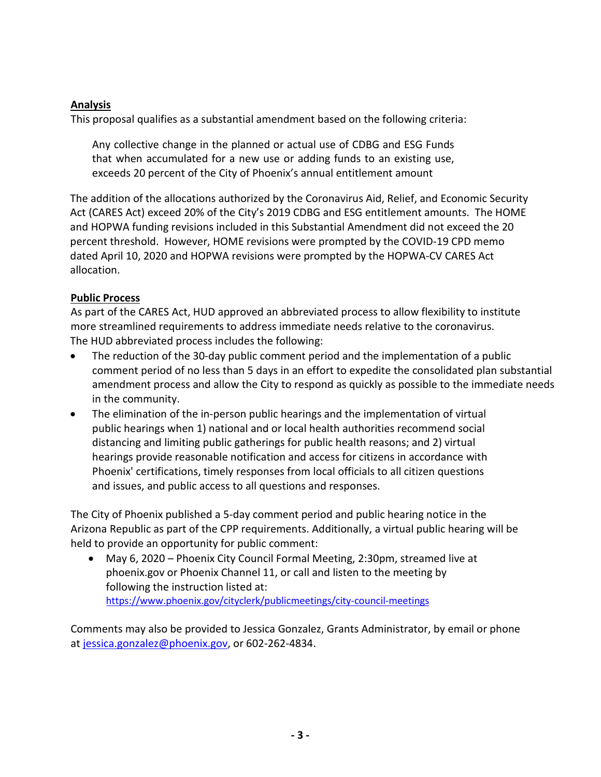#### **Analysis**

This proposal qualifies as a substantial amendment based on the following criteria:

Any collective change in the planned or actual use of CDBG and ESG Funds that when accumulated for a new use or adding funds to an existing use, exceeds 20 percent of the City of Phoenix's annual entitlement amount

The addition of the allocations authorized by the Coronavirus Aid, Relief, and Economic Security Act (CARES Act) exceed 20% of the City's 2019 CDBG and ESG entitlement amounts. The HOME and HOPWA funding revisions included in this Substantial Amendment did not exceed the 20 percent threshold. However, HOME revisions were prompted by the COVID-19 CPD memo dated April 10, 2020 and HOPWA revisions were prompted by the HOPWA-CV CARES Act allocation.

#### **Public Process**

As part of the CARES Act, HUD approved an abbreviated process to allow flexibility to institute more streamlined requirements to address immediate needs relative to the coronavirus. The HUD abbreviated process includes the following:

- The reduction of the 30-day public comment period and the implementation of a public comment period of no less than 5 days in an effort to expedite the consolidated plan substantial amendment process and allow the City to respond as quickly as possible to the immediate needs in the community.
- The elimination of the in-person public hearings and the implementation of virtual public hearings when 1) national and or local health authorities recommend social distancing and limiting public gatherings for public health reasons; and 2) virtual hearings provide reasonable notification and access for citizens in accordance with Phoenix' certifications, timely responses from local officials to all citizen questions and issues, and public access to all questions and responses.

The City of Phoenix published a 5-day comment period and public hearing notice in the Arizona Republic as part of the CPP requirements. Additionally, a virtual public hearing will be held to provide an opportunity for public comment:

• May 6, 2020 – Phoenix City Council Formal Meeting, 2:30pm, streamed live at phoenix.gov or Phoenix Channel 11, or call and listen to the meeting by following the instruction listed at: <https://www.phoenix.gov/cityclerk/publicmeetings/city-council-meetings>

Comments may also be provided to Jessica Gonzalez, Grants Administrator, by email or phone at [jessica.gonzalez@phoenix.gov,](mailto:jessica.gonzalez@phoenix.gov) or 602-262-4834.